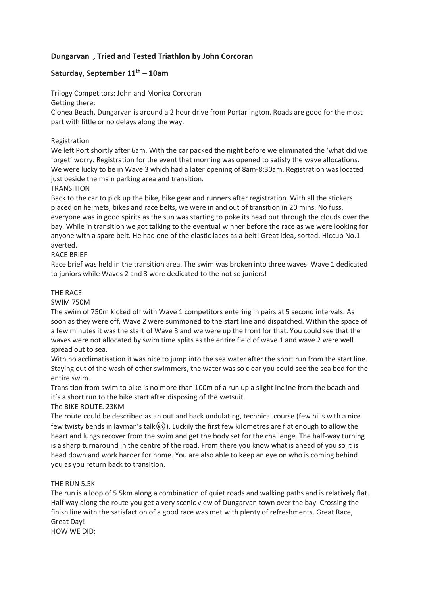# **Dungarvan , Tried and Tested Triathlon by John Corcoran**

## **Saturday, September 11th – 10am**

Trilogy Competitors: John and Monica Corcoran

Getting there:

Clonea Beach, Dungarvan is around a 2 hour drive from Portarlington. Roads are good for the most part with little or no delays along the way.

### Registration

We left Port shortly after 6am. With the car packed the night before we eliminated the 'what did we forget' worry. Registration for the event that morning was opened to satisfy the wave allocations. We were lucky to be in Wave 3 which had a later opening of 8am-8:30am. Registration was located just beside the main parking area and transition.

### **TRANSITION**

Back to the car to pick up the bike, bike gear and runners after registration. With all the stickers placed on helmets, bikes and race belts, we were in and out of transition in 20 mins. No fuss, everyone was in good spirits as the sun was starting to poke its head out through the clouds over the bay. While in transition we got talking to the eventual winner before the race as we were looking for anyone with a spare belt. He had one of the elastic laces as a belt! Great idea, sorted. Hiccup No.1 averted.

### RACE BRIEF

Race brief was held in the transition area. The swim was broken into three waves: Wave 1 dedicated to juniors while Waves 2 and 3 were dedicated to the not so juniors!

#### THE RACE

SWIM 750M

The swim of 750m kicked off with Wave 1 competitors entering in pairs at 5 second intervals. As soon as they were off, Wave 2 were summoned to the start line and dispatched. Within the space of a few minutes it was the start of Wave 3 and we were up the front for that. You could see that the waves were not allocated by swim time splits as the entire field of wave 1 and wave 2 were well spread out to sea.

With no acclimatisation it was nice to jump into the sea water after the short run from the start line. Staying out of the wash of other swimmers, the water was so clear you could see the sea bed for the entire swim.

Transition from swim to bike is no more than 100m of a run up a slight incline from the beach and it's a short run to the bike start after disposing of the wetsuit.

The BIKE ROUTE. 23KM

The route could be described as an out and back undulating, technical course (few hills with a nice few twisty bends in layman's talk $\circledast$ ). Luckily the first few kilometres are flat enough to allow the heart and lungs recover from the swim and get the body set for the challenge. The half-way turning is a sharp turnaround in the centre of the road. From there you know what is ahead of you so it is head down and work harder for home. You are also able to keep an eye on who is coming behind you as you return back to transition.

### THE RUN 5.5K

The run is a loop of 5.5km along a combination of quiet roads and walking paths and is relatively flat. Half way along the route you get a very scenic view of Dungarvan town over the bay. Crossing the finish line with the satisfaction of a good race was met with plenty of refreshments. Great Race, Great Day!

HOW WE DID: